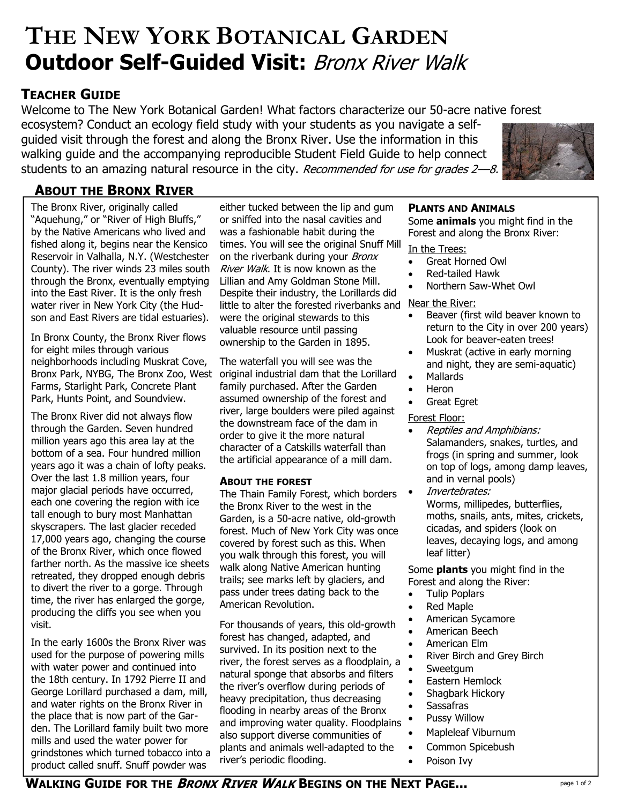# **Outdoor Self-Guided Visit:** Bronx River Walk **THE NEW YORK BOTANICAL GARDEN**

# **TEACHER GUIDE**

Welcome to The New York Botanical Garden! What factors characterize our 50-acre native forest

ecosystem? Conduct an ecology field study with your students as you navigate a selfguided visit through the forest and along the Bronx River. Use the information in this walking guide and the accompanying reproducible Student Field Guide to help connect students to an amazing natural resource in the city. Recommended for use for grades 2-8.



# **ABOUT THE BRONX RIVER**

The Bronx River, originally called "Aquehung," or "River of High Bluffs," by the Native Americans who lived and fished along it, begins near the Kensico Reservoir in Valhalla, N.Y. (Westchester County). The river winds 23 miles south through the Bronx, eventually emptying into the East River. It is the only fresh water river in New York City (the Hudson and East Rivers are tidal estuaries).

In Bronx County, the Bronx River flows for eight miles through various neighborhoods including Muskrat Cove, Bronx Park, NYBG, The Bronx Zoo, West Farms, Starlight Park, Concrete Plant Park, Hunts Point, and Soundview.

The Bronx River did not always flow through the Garden. Seven hundred million years ago this area lay at the bottom of a sea. Four hundred million years ago it was a chain of lofty peaks. Over the last 1.8 million years, four major glacial periods have occurred, each one covering the region with ice tall enough to bury most Manhattan skyscrapers. The last glacier receded 17,000 years ago, changing the course of the Bronx River, which once flowed farther north. As the massive ice sheets retreated, they dropped enough debris to divert the river to a gorge. Through time, the river has enlarged the gorge, producing the cliffs you see when you visit.

In the early 1600s the Bronx River was used for the purpose of powering mills with water power and continued into the 18th century. In 1792 Pierre II and George Lorillard purchased a dam, mill, and water rights on the Bronx River in the place that is now part of the Garden. The Lorillard family built two more mills and used the water power for grindstones which turned tobacco into a product called snuff. Snuff powder was

either tucked between the lip and gum or sniffed into the nasal cavities and was a fashionable habit during the times. You will see the original Snuff Mill on the riverbank during your *Bronx* River Walk. It is now known as the Lillian and Amy Goldman Stone Mill. Despite their industry, the Lorillards did little to alter the forested riverbanks and Near the River: were the original stewards to this valuable resource until passing ownership to the Garden in 1895.

The waterfall you will see was the original industrial dam that the Lorillard family purchased. After the Garden assumed ownership of the forest and river, large boulders were piled against the downstream face of the dam in order to give it the more natural character of a Catskills waterfall than the artificial appearance of a mill dam.

#### **ABOUT THE FOREST**

The Thain Family Forest, which borders the Bronx River to the west in the Garden, is a 50-acre native, old-growth forest. Much of New York City was once covered by forest such as this. When you walk through this forest, you will walk along Native American hunting trails; see marks left by glaciers, and pass under trees dating back to the American Revolution.

For thousands of years, this old-growth forest has changed, adapted, and survived. In its position next to the river, the forest serves as a floodplain, a natural sponge that absorbs and filters the river's overflow during periods of heavy precipitation, thus decreasing flooding in nearby areas of the Bronx and improving water quality. Floodplains also support diverse communities of plants and animals well-adapted to the river's periodic flooding.

### **PLANTS AND ANIMALS**

Some **animals** you might find in the Forest and along the Bronx River:

#### In the Trees:

- Great Horned Owl
- Red-tailed Hawk
- Northern Saw-Whet Owl

- Beaver (first wild beaver known to return to the City in over 200 years) Look for beaver-eaten trees!
- Muskrat (active in early morning and night, they are semi-aquatic)
- Mallards
- Heron
- **Great Egret**

#### Forest Floor:

- Reptiles and Amphibians: Salamanders, snakes, turtles, and frogs (in spring and summer, look on top of logs, among damp leaves, and in vernal pools)
- Invertebrates: Worms, millipedes, butterflies, moths, snails, ants, mites, crickets, cicadas, and spiders (look on leaves, decaying logs, and among leaf litter)

Some **plants** you might find in the Forest and along the River:

- Tulip Poplars
- Red Maple
- American Sycamore
- American Beech
- American Elm
- River Birch and Grey Birch
- **Sweetgum**
- Eastern Hemlock
- Shagbark Hickory
- Sassafras
- Pussy Willow
- Mapleleaf Viburnum
- Common Spicebush
- Poison Ivv